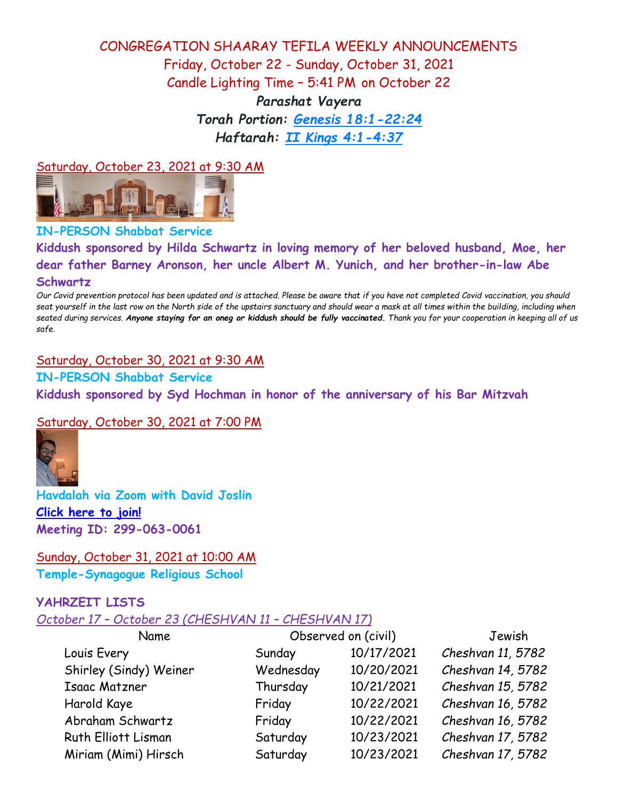## CONGREGATION SHAARAY TEFILA WEEKLY ANNOUNCEMENTS Friday, October 22 - Sunday, October 31, 2021 Candle Lighting Time – 5:41 PM on October 22

*Parashat Vayera Torah Portion: [Genesis 18:1-22:24](https://www.sefaria.org/Genesis.18.1-22.24?lang=bi&aliyot=1) Haftarah: [II Kings 4:1-4:37](https://www.sefaria.org/II_Kings.4.1-37?lang=bi)*

Saturday, October 23, 2021 at 9:30 AM



### **IN-PERSON Shabbat Service**

**Kiddush sponsored by Hilda Schwartz in loving memory of her beloved husband, Moe, her dear father Barney Aronson, her uncle Albert M. Yunich, and her brother-in-law Abe Schwartz**

*Our Covid prevention protocol has been updated and is attached. Please be aware that if you have not completed Covid vaccination, you should seat yourself in the last row on the North side of the upstairs sanctuary and should wear a mask at all times within the building, including when seated during services. Anyone staying for an oneg or kiddush should be fully vaccinated. Thank you for your cooperation in keeping all of us safe.*

### Saturday, October 30, 2021 at 9:30 AM

**IN-PERSON Shabbat Service Kiddush sponsored by Syd Hochman in honor of the anniversary of his Bar Mitzvah**

### Saturday, October 30, 2021 at 7:00 PM



**Havdalah via Zoom with David Joslin [Click here to join!](https://us02web.zoom.us/j/2990630061) Meeting ID: 299-063-0061**

Sunday, October 31, 2021 at 10:00 AM **Temple-Synagogue Religious School**

### **YAHRZEIT LISTS**

*October 17 – October 23 (CHESHVAN 11 – CHESHVAN 17)*

| Name                   | Observed on (civil) |            | Jewish            |
|------------------------|---------------------|------------|-------------------|
| Louis Every            | Sunday              | 10/17/2021 | Cheshvan 11, 5782 |
| Shirley (Sindy) Weiner | Wednesday           | 10/20/2021 | Cheshvan 14, 5782 |
| Isaac Matzner          | Thursday            | 10/21/2021 | Cheshvan 15, 5782 |
| Harold Kaye            | Friday              | 10/22/2021 | Cheshvan 16, 5782 |
| Abraham Schwartz       | Friday              | 10/22/2021 | Cheshvan 16, 5782 |
| Ruth Elliott Lisman    | Saturday            | 10/23/2021 | Cheshvan 17, 5782 |
| Miriam (Mimi) Hirsch   | Saturday            | 10/23/2021 | Cheshvan 17, 5782 |